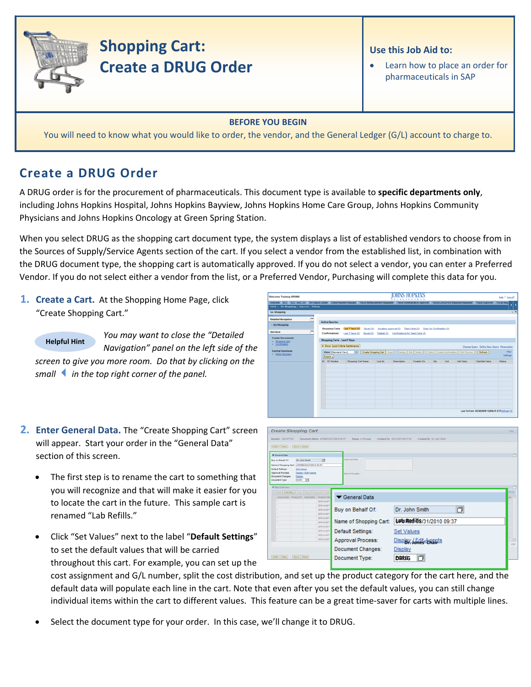

# **Shopping Cart: Create a DRUG Order**

### **Use this Job Aid to:**

Learn how to place an order for pharmaceuticals in SAP

### **BEFORE YOU BEGIN**

You will need to know what you would like to order, the vendor, and the General Ledger (G/L) account to charge to.

# **Create a DRUG Order**

A DRUG order is for the procurement of pharmaceuticals. This document type is available to **specific departments only**, including Johns Hopkins Hospital, Johns Hopkins Bayview, Johns Hopkins Home Care Group, Johns Hopkins Community Physicians and Johns Hopkins Oncology at Green Spring Station.

When you select DRUG as the shopping cart document type, the system displays a list of established vendors to choose from in the Sources of Supply/Service Agents section of the cart. If you select a vendor from the established list, in combination with the DRUG document type, the shopping cart is automatically approved. If you do not select a vendor, you can enter a Preferred Vendor. If you do not select either a vendor from the list, or a Preferred Vendor, Purchasing will complete this data for you.

**1. Create a Cart.** At the Shopping Home Page, click "Create Shopping Cart."

**Helpful Hint**

*You may want to close the "Detailed Navigation" panel on the left side of the*

*screen to give you more room. Do that by clicking on the smallin the top right corner of the panel.*

- **2. Enter General Data.** The "Create Shopping Cart" screen will appear. Start your order in the "General Data" section of this screen.
	- The first step is to rename the cart to something that you will recognize and that will make it easier for you to locate the cart in the future. This sample cart is renamed "Lab Refills."
	- Click "Set Values" next to the label "**Default Settings**" to set the default values that will be carried

throughout this cart. For example, you can set up the cost assignment and G/L number, split the cost distribution, and set up the product category for the cart here, and the default data will populate each line in the cart. Note that even after you set the default values, you can still change individual items within the cart to different values. This feature can be a great time-saver for carts with multiple lines.

Select the document type for your order. In this case, we'll change it to DRUG.

| Welcome Training UPUR60                                                                                                                                                                                                                                           |                                                                   |                    |           |          | OHNS HOPKINS<br><b><i>INSTITUTIONS</i></b> |                                                                                                         |      |      |                  |                                                 | Help   Log.off    |
|-------------------------------------------------------------------------------------------------------------------------------------------------------------------------------------------------------------------------------------------------------------------|-------------------------------------------------------------------|--------------------|-----------|----------|--------------------------------------------|---------------------------------------------------------------------------------------------------------|------|------|------------------|-------------------------------------------------|-------------------|
| Welcome ECC ECC - MAC OS BW Report Center Online Payment Request Travel Reimbursement Requester Travel Administrative Approver Travel Concurrent Employed Requester Travel Approver Travel Approver Travel Approver<br>Alerts   Go Shopping   Approval   Settings |                                                                   |                    |           |          |                                            |                                                                                                         |      |      |                  |                                                 | داء               |
| Go Shopping<br>atet                                                                                                                                                                                                                                               |                                                                   |                    |           |          |                                            |                                                                                                         |      |      |                  |                                                 | ı e               |
| Е<br><b>Detailed Navigation</b>                                                                                                                                                                                                                                   | <b>Active Queries</b>                                             |                    |           |          |                                            |                                                                                                         |      |      |                  |                                                 |                   |
| - Go Shopping                                                                                                                                                                                                                                                     | <b>Shopping Carts</b>                                             | Last 7 Days (0)    | Saved (0) |          |                                            | Awalting Approval (0) Team Carts (0) Open for Confirmation (0)                                          |      |      |                  |                                                 |                   |
| <b>Services</b>                                                                                                                                                                                                                                                   | Confirmations                                                     | Last 7 Days (0)    | Saved (0) |          |                                            | Deleted (0) Confirmations for Team Carts (0)                                                            |      |      |                  |                                                 |                   |
| <b>Create Documents</b><br>. Shopping Cart<br>- Confirmation                                                                                                                                                                                                      | Shopping Carts - Last 7 Days<br>> Show Quick Criteria Maintenance |                    |           |          |                                            |                                                                                                         |      |      |                  | Change Query Define New Query Personalize       |                   |
| <b>Central Functions</b><br>Notify Recipient                                                                                                                                                                                                                      | View [Standard View]<br>Export a                                  | ▬                  |           |          |                                            | Create Shopping Cart   Copy     Display   Edit   Delete     Order   Create Confirmation   Print Preview |      |      |                  | Refresh                                         | Fiter<br>Settings |
|                                                                                                                                                                                                                                                                   | <b>RR</b> SC Number                                               | Shopping Cart Name |           | Line No. | <b>Description</b>                         | Created On                                                                                              | Oty: | Unit | <b>Net Value</b> | <b>Total Net Value</b>                          | <b>Status</b>     |
|                                                                                                                                                                                                                                                                   |                                                                   |                    |           |          |                                            |                                                                                                         |      |      |                  |                                                 |                   |
|                                                                                                                                                                                                                                                                   |                                                                   |                    |           |          |                                            |                                                                                                         |      |      |                  |                                                 |                   |
|                                                                                                                                                                                                                                                                   |                                                                   |                    |           |          |                                            |                                                                                                         |      |      |                  |                                                 |                   |
|                                                                                                                                                                                                                                                                   |                                                                   |                    |           |          |                                            |                                                                                                         |      |      |                  |                                                 |                   |
|                                                                                                                                                                                                                                                                   |                                                                   |                    |           |          |                                            |                                                                                                         |      |      |                  |                                                 |                   |
|                                                                                                                                                                                                                                                                   |                                                                   |                    |           |          |                                            |                                                                                                         |      |      |                  |                                                 |                   |
|                                                                                                                                                                                                                                                                   |                                                                   |                    |           |          |                                            |                                                                                                         |      |      |                  |                                                 |                   |
|                                                                                                                                                                                                                                                                   |                                                                   |                    |           |          |                                            |                                                                                                         |      |      |                  | Last Refresh 03/30/2010 12:04:31 EST Refresh FG |                   |
|                                                                                                                                                                                                                                                                   |                                                                   |                    |           |          |                                            |                                                                                                         |      |      |                  |                                                 |                   |

| Runder 101177281                                                           | Document Name UPUREZ ESQ10010 09:37                |                             |                        |                           |            |
|----------------------------------------------------------------------------|----------------------------------------------------|-----------------------------|------------------------|---------------------------|------------|
| [Order] Close   Dave   Check                                               |                                                    |                             |                        |                           |            |
| <b>V</b> General Date                                                      |                                                    |                             |                        |                           |            |
| Buy on Behalf Of                                                           | Dr. John Smith                                     | 西                           | <b>Augmoid links</b>   |                           |            |
| Name of Shopping Cart. UPURED 03/31/2310 09:37<br><b>Default Settings:</b> | <b>Set Values</b>                                  |                             |                        |                           |            |
| Approval Process.<br><b>Decument Changes:</b>                              | <b>Creates / Edit Aserta</b>                       |                             | Arms to Tuezday        |                           |            |
| <b>Document Type:</b>                                                      | Departed<br>ъ<br>ECPO                              |                             |                        |                           |            |
|                                                                            |                                                    |                             |                        |                           |            |
| W last Director                                                            |                                                    |                             |                        |                           |            |
|                                                                            | Solate   AM formal Cons   Faces   Sustain   Select |                             |                        |                           |            |
|                                                                            | Leatures Policit) Descript Policities              |                             | ▼ General Data         |                           |            |
|                                                                            |                                                    | <b>SERVADAT</b><br>SERUADIT |                        |                           |            |
|                                                                            |                                                    | SERVADIT                    | Buy on Behalf Of:      | Dr. John Smith<br>门       |            |
|                                                                            |                                                    | SERVADET<br>SERVADIT        |                        |                           |            |
|                                                                            |                                                    | SERVADIT                    | Name of Shopping Cart: | Uab Refills/31/2010 09:37 |            |
|                                                                            |                                                    | SERVAGNY<br>SERVADIT        |                        |                           | mar<br>ow. |
|                                                                            |                                                    | SERVADIT                    | Default Settings:      | <b>Set Values</b>         |            |
|                                                                            |                                                    | SERVADIAT                   | Approval Process:      | Display / Edit Agents     |            |
|                                                                            |                                                    |                             | Document Changes:      | Display                   |            |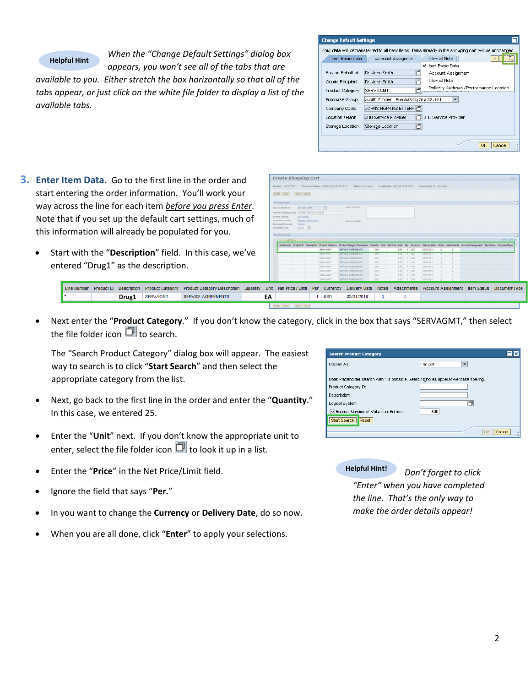### **Helpful Hint**

*When the "Change Default Settings" dialog box appears, you won't see all of the tabs that are*

*available to you. Either stretch the box horizontally so that all of the tabs appear, or just click on the white file folder to display a list of the available tabs.*

| <b>Change Default Settings</b> |                                                                                                       |
|--------------------------------|-------------------------------------------------------------------------------------------------------|
|                                | Your data will be transferred to all new items, items already in the shopping cart will be unchanged. |
| Item Basic Data                | <b>Internal Note</b><br>Account Assignment                                                            |
|                                | Item Basic Data<br>v                                                                                  |
| Buy on Behalf of:              | Dr. John Smith<br>门<br>Account Assignment                                                             |
| Goods Recipient:               | Internal Note<br>Dr. John Smith                                                                       |
| Product Category:              | Delivery Address / Performance Location<br>SERVAGMT                                                   |
| Purchase Group:                | Judith Zimmer - Purchasing Grp 32 JHU<br>$\overline{\phantom{a}}$                                     |
| Company Code:                  | <b>JOHNS HOPKINS ENTERPH门</b>                                                                         |
| Location / Plant:              | <b>JHLI Service Provider</b><br>JHU Service Provider                                                  |
| Storage Location:              | Storage Location<br>n                                                                                 |
|                                | Cancel<br>OK                                                                                          |

- **3. Enter Item Data.** Go to the first line in the order and start entering the order information. You'll work your way across the line for each item *before you press Enter*. Note that if you set up the default cart settings, much of this information will already be populated for you.
	- Start with the "**Description**" field. In this case, we've entered "Drug1" as the description.

|  |  |                                                                                                                                                                                                           |    |  |                  |                         | SERVADIT BERVICE ASPENDING 1.000 1.000 1.000 4.0010210 2 3 |  |
|--|--|-----------------------------------------------------------------------------------------------------------------------------------------------------------------------------------------------------------|----|--|------------------|-------------------------|------------------------------------------------------------|--|
|  |  | Line Number Product ID Description Product Category Product Category Description Quantity Unit Net Price / Limit Per Currency Delivery Date Notes Attachments Account Assignment Item Status DocumentType |    |  |                  |                         |                                                            |  |
|  |  | <b>Drug1</b> SERVAGMT SERVICE AGREEMENTS                                                                                                                                                                  | EA |  | 1 USD 03/31/2010 | $\overline{\mathbf{0}}$ |                                                            |  |
|  |  |                                                                                                                                                                                                           |    |  |                  |                         |                                                            |  |

Create Shopping Cart

• Next enter the "**Product Category**." If you don't know the category, click in the box that says "SERVAGMT," then select the file folder icon  $\Box$  to search.

The "Search Product Category" dialog box will appear. The easiest way to search is to click "**Start Search**" and then select the appropriate category from the list.

- Next, go back to the first line in the order and enter the "**Quantity**." In this case, we entered 25.
- Enter the "**Unit**" next. If you don't know the appropriate unit to enter, select the file folder icon  $\Box$  to look it up in a list.
- Enter the "**Price**" in the Net Price/Limit field.
- Ignore the field that says "**Per.**"
- In you want to change the **Currency** or **Delivery Date**, do so now.
- When you are all done, click "**Enter**" to apply your selections.

| <b>Search Product Category</b>                                                        |                     |
|---------------------------------------------------------------------------------------|---------------------|
| Display As:                                                                           | Flat List<br>▼      |
| Note: Placeholder search with * is possible. Search ignores upper/lowercase spelling. |                     |
| Product Category ID:                                                                  |                     |
| Description:                                                                          |                     |
| Logical System:                                                                       | 门                   |
| Restrict Number of Value List Entries                                                 | 500                 |
| Start Search<br>Reset                                                                 |                     |
|                                                                                       | <b>OK</b><br>Cancel |
|                                                                                       | ШP                  |

**Helpful Hint!** *Don't forget to click "Enter" when you have completed the line. That's the only way to make the order details appear!*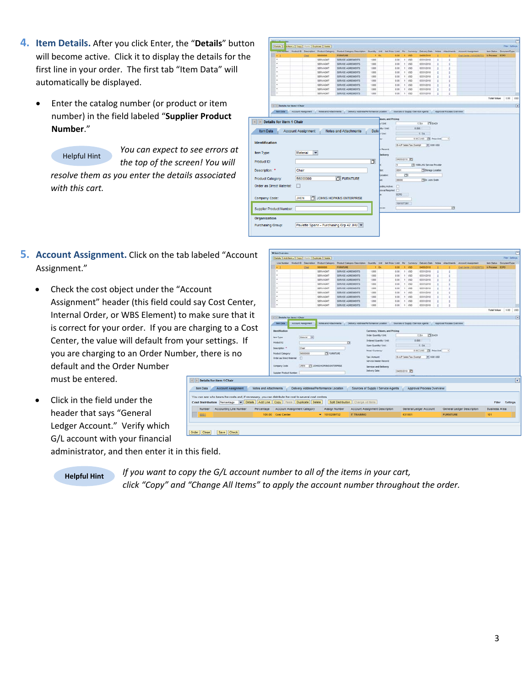- **4. Item Details.** After you click Enter, the "**Details**" button will become active. Click it to display the details for the first line in your order. The first tab "Item Data" will automatically be displayed.
	- Enter the catalog number (or product or item number) in the field labeled "**Supplier Product Number**."
		- Helpful Hint

*You can expect to see errors at*

*the top of the screen! You will resolve them as you enter the details associated with this cart.*



- **5. Account Assignment.** Click on the tab labeled "Account Assignment."
	- Check the cost object under the "Account Assignment" header (this field could say Co Internal Order, or WBS Element) to make su is correct for your order. If you are chargin Center, the value will default from your set you are charging to an Order Number, ther default and the Order Number must be entered.  $\boxed{4}$  Details for

tem Data **Cost Distributi** Number

• Click in the field under the header that says "General Ledger Account." Verify which G/L account with your financial

| d "Account                                                                             | <b>Viten Overview</b>                                    |                           |                                                    |                                                                                                          |                                               |      |                                      |                                 |                           |                           |                            |                       |                         |            |
|----------------------------------------------------------------------------------------|----------------------------------------------------------|---------------------------|----------------------------------------------------|----------------------------------------------------------------------------------------------------------|-----------------------------------------------|------|--------------------------------------|---------------------------------|---------------------------|---------------------------|----------------------------|-----------------------|-------------------------|------------|
|                                                                                        | Details   Add tem a   Copy   Fissio   Duplicate   Delete |                           |                                                    |                                                                                                          |                                               |      |                                      |                                 |                           |                           |                            |                       | Filmy Switzern          |            |
|                                                                                        |                                                          |                           | Line Number Product D Description Product Category | Product Category Deacrgoon Cuantity Unit Test Price / Limit Per Currency Delivery Date Notes Attachments |                                               |      |                                      |                                 |                           |                           | <b>Account Assignment</b>  |                       | ten Status DocumentType |            |
|                                                                                        | ٠                                                        | Chil                      | 58000000                                           | <b>FURNITURE</b>                                                                                         |                                               | 1.84 | 0.00                                 | 1.450                           | 04/05/2010                |                           | Coat Carrer (1010201732)   | <b>M Process ECPO</b> |                         |            |
|                                                                                        | ٠                                                        |                           | SERVAGMT<br>SERVAGM?                               | SERVICE AGREEMENTS<br>SERVICE AGREEMENTS                                                                 | 1.000<br>1,000                                |      | 0.00<br>3.00                         | $1 - 1050$<br>1.050             | 03/31/2010<br>63/31/2018  | ٠                         |                            |                       |                         |            |
|                                                                                        |                                                          |                           | SERVAGNT                                           | SERVICE AGREEMENTS                                                                                       | 1.000                                         |      | 0.00                                 | 1 150                           | 03/31/2010                |                           |                            |                       |                         |            |
|                                                                                        |                                                          |                           | SERVAGNY                                           | SERVICE AGREEMENTS                                                                                       | 1.000                                         |      | 0.00                                 | 1 1/50                          | 63/31/2010                |                           |                            |                       |                         |            |
|                                                                                        |                                                          |                           | <b>SERVAGNY</b>                                    | SERVICE AGREEMENTS                                                                                       | 1.000                                         |      | 0.00                                 | $1 - 1/20$                      | 03/31/2010                |                           |                            |                       |                         |            |
|                                                                                        |                                                          |                           | <b>SERVAGNY</b>                                    | SERVICE AGREEMENTS                                                                                       | 1,000                                         |      | 0.00                                 | $1 - 1/50$                      | 03/31/2010                |                           |                            |                       |                         |            |
|                                                                                        |                                                          |                           | <b>SERVAGNT</b>                                    | SERVICE AGREEMENTS                                                                                       | 1.000                                         |      | 0.00                                 | 1 950                           | 03/31/2010                |                           |                            |                       |                         |            |
|                                                                                        |                                                          |                           | SERVAGNT                                           | SERVICE AGREEMENTS                                                                                       | 1.000                                         |      | 0.00                                 | 1.150                           | 03/31/2010                |                           |                            |                       |                         |            |
| ost Center,                                                                            | ٠                                                        |                           | SERVADNT                                           | SERVICE AGREEMENTS                                                                                       | 1,000                                         |      | 0.00                                 | 1.050                           | 03/31/2010                |                           |                            |                       |                         |            |
|                                                                                        |                                                          |                           |                                                    |                                                                                                          |                                               |      |                                      |                                 |                           |                           |                            | Total Value           | 0.00                    | 1:50       |
| ure that it                                                                            |                                                          |                           |                                                    |                                                                                                          |                                               |      |                                      |                                 |                           |                           |                            |                       |                         |            |
|                                                                                        | (1) 11 Details for item 1 Chair                          |                           |                                                    |                                                                                                          |                                               |      |                                      |                                 |                           |                           |                            |                       |                         | $\sqrt{1}$ |
|                                                                                        | <b><i><u><i><b>Inm Data</b></i></u></i></b>              | <b>Account Assignment</b> | Notes and Attachments                              | Delivery Address/Ferformance Location                                                                    |                                               |      | 5 Sources of Supply / Service Agents |                                 |                           | Approval Process Overview |                            |                       |                         |            |
| າg to a Cost                                                                           |                                                          |                           |                                                    |                                                                                                          |                                               |      |                                      |                                 |                           |                           |                            |                       |                         |            |
|                                                                                        | <b>Identification</b>                                    |                           |                                                    |                                                                                                          |                                               |      | Currency, Values, and Pricing        |                                 |                           |                           |                            |                       |                         |            |
|                                                                                        | <b>Jam Type</b>                                          | <b>Material (w)</b>       |                                                    |                                                                                                          | <b>Order Quantity / Unit</b>                  |      |                                      |                                 | <b>CE EACH</b><br>$1$ EA  |                           |                            |                       |                         |            |
| ttings. If                                                                             | Product D.                                               |                           |                                                    | o                                                                                                        | Drdared Quantity / Unit                       |      |                                      |                                 | 1.000                     |                           |                            |                       |                         |            |
|                                                                                        |                                                          |                           |                                                    |                                                                                                          | Open Quantity / Unit                          |      |                                      |                                 | 1.14                      |                           |                            |                       |                         |            |
|                                                                                        | Deacription: 11                                          | Chair                     |                                                    |                                                                                                          | <b>Price / Currency</b>                       |      |                                      |                                 | 0.00 USD TV Price Use     | $\left  \cdot \right $    |                            |                       |                         |            |
| e is no                                                                                | <b>Product Category</b>                                  | 58000000                  | <b>PSI</b> FURNITURE                               |                                                                                                          |                                               |      |                                      |                                 |                           |                           |                            |                       |                         |            |
|                                                                                        | Order as Direct Material:                                | D                         |                                                    |                                                                                                          | <b>Tex / Amount</b><br>Service Wester Record: |      |                                      | <b>G-A/P Sales Tax, Exercit</b> | $= 0.00100$               |                           |                            |                       |                         |            |
|                                                                                        |                                                          |                           |                                                    |                                                                                                          |                                               |      |                                      |                                 |                           |                           |                            |                       |                         |            |
|                                                                                        | Company Code:                                            | pen                       | CI JOHNS HOPKINS ENTERPRISE                        |                                                                                                          | Service and Delivery                          |      |                                      |                                 |                           |                           |                            |                       |                         |            |
|                                                                                        | Supplier Product Number:                                 |                           |                                                    |                                                                                                          | Delivery Date:                                |      |                                      | BASSOTIO IT                     |                           |                           |                            |                       |                         |            |
|                                                                                        |                                                          |                           |                                                    |                                                                                                          |                                               |      |                                      |                                 |                           |                           |                            |                       |                         |            |
| item 1 Chair                                                                           |                                                          |                           |                                                    |                                                                                                          |                                               |      |                                      |                                 |                           |                           |                            |                       |                         | ×          |
|                                                                                        |                                                          |                           |                                                    |                                                                                                          |                                               |      |                                      |                                 |                           |                           |                            |                       |                         |            |
| <b>Account Assignment</b>                                                              | Notes and Attachments                                    |                           | Delivery Address/Performance Location              |                                                                                                          |                                               |      | Sources of Supply / Service Agents   |                                 | Approval Process Overview |                           |                            |                       |                         |            |
|                                                                                        |                                                          |                           |                                                    |                                                                                                          |                                               |      |                                      |                                 |                           |                           |                            |                       |                         |            |
| bears the costs and, if necessary, you can distribute the cost to several cost centres |                                                          |                           |                                                    |                                                                                                          |                                               |      |                                      |                                 |                           |                           |                            |                       |                         |            |
| n Percentage v Details Add Line Copy Paste Duplicate Delete                            |                                                          |                           |                                                    | Splt Distribution Change All tems                                                                        |                                               |      |                                      |                                 |                           |                           |                            |                       | Filter Settings         |            |
| <b>Accounting Line Number</b>                                                          | Account Assignment Category<br>Percentage                |                           | Assign Number                                      | Account Assignment Description                                                                           |                                               |      |                                      |                                 | General Ledger Account    |                           | General Ledger Description | Business Area         |                         |            |
|                                                                                        | 100.00 Cost Center                                       |                           | $-1010289732$                                      | <b>IT TRAINING</b>                                                                                       |                                               |      |                                      | 631001                          |                           | <b>FURNITURE</b>          |                            | 101                   |                         |            |
|                                                                                        |                                                          |                           |                                                    |                                                                                                          |                                               |      |                                      |                                 |                           |                           |                            |                       |                         |            |
|                                                                                        |                                                          |                           |                                                    |                                                                                                          |                                               |      |                                      |                                 |                           |                           |                            |                       |                         |            |
|                                                                                        |                                                          |                           |                                                    |                                                                                                          |                                               |      |                                      |                                 |                           |                           |                            |                       |                         |            |
| Save Cherk                                                                             |                                                          |                           |                                                    |                                                                                                          |                                               |      |                                      |                                 |                           |                           |                            |                       |                         |            |

administrator, and then enter it in this field.

**Helpful Hint** *If you want to copy the G/L account number to all of the items in your cart, click "Copy" and "Change All Items" to apply the account number throughout the order.*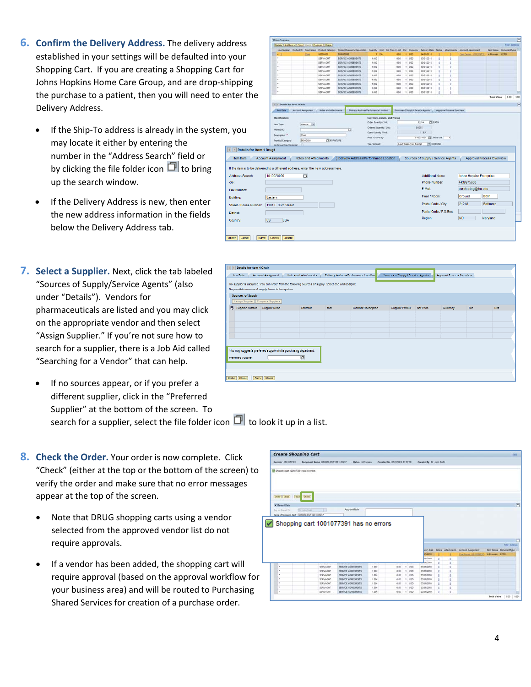- **6. Confirm the Delivery Address.** The delivery address established in your settings will be defaulted into y Shopping Cart. If you are creating a Shopping Cart Johns Hopkins Home Care Group, and are drop-ship the purchase to a patient, then you will need to en Delivery Address.
	- If the Ship-To address is already in the system, may locate it either by entering the number in the "Address Search" field or by clicking the file folder icon  $\Box$  to bring up the search window.
	- If the Delivery Address is new, then enter the new address information in the fields below the Delivery Address tab.
- **7. Select a Supplier.** Next, click the tab labeled "Sources of Supply/Service Agents" (also under "Details"). Vendors for pharmaceuticals are listed and you may click on the appropriate vendor and then select "Assign Supplier." If you're not sure how to search for a supplier, there is a Job Aid called "Searching for a Vendor" that can help.
	- If no sources appear, or if you prefer a different supplier, click in the "Preferred Supplier" at the bottom of the screen. To search for a supplier, select the file folder icon  $\Box$  to look it up in a list.
- **8. Check the Order.** Your order is now complete. Click "Check" (either at the top or the bottom of the screen) to verify the order and make sure that no error messages appear at the top of the screen.
	- Note that DRUG shopping carts using a vendor selected from the approved vendor list do not require approvals.
	- If a vendor has been added, the shopping cart will require approval (based on the approval workflow for your business area) and will be routed to Purchasing Shared Services for creation of a purchase order.

|                                                                                 | <b>V</b> ten Overview                                   |   |                           |                                                     |                                          |                                |      |                                  |                                    |                                    |   |                           |                                 |                        |                                |                |
|---------------------------------------------------------------------------------|---------------------------------------------------------|---|---------------------------|-----------------------------------------------------|------------------------------------------|--------------------------------|------|----------------------------------|------------------------------------|------------------------------------|---|---------------------------|---------------------------------|------------------------|--------------------------------|----------------|
| ress                                                                            | Details   Add fem a   Copy   Fixth   Duplicate   Delate |   |                           |                                                     |                                          |                                |      |                                  |                                    |                                    |   |                           |                                 |                        | Filer Settings                 |                |
|                                                                                 |                                                         |   |                           | Line Number Product El Description Product Category | Product Category Description             |                                |      | Quartity Unit Test Price / Limit | Per Currency                       | Delivery Date:                     |   | Notes Attachments         | <b>Account Assignment</b>       |                        | <b>Ben Status DocumentType</b> |                |
|                                                                                 |                                                         |   | Qui                       | 16000000                                            | <b>FURNITURE</b>                         |                                | t EA | 0.00                             | 1.402                              | 04/05/2010                         |   |                           | Cost Carrier (1011203732)       | <b>In Process ECPO</b> |                                |                |
| our!                                                                            |                                                         |   |                           | SERVAGUST                                           | SERVICE AGREEMENTS                       | 1.000                          |      | 0.05                             | $1 - 1050$                         | 03/31/2010                         | ٠ | ÷                         |                                 |                        |                                |                |
|                                                                                 |                                                         |   |                           | SERVAGM?                                            | SERVICE AGREEMENTS                       | 1,000                          |      | 3.00                             | 1.055                              | 53/31/2018                         |   |                           |                                 |                        |                                |                |
| for                                                                             |                                                         |   |                           | SERVAGNT                                            | SERVICE AGREEMENTS                       | 1.000                          |      | 0.00                             | $1$ $150$                          | 03/31/2010                         |   |                           |                                 |                        |                                |                |
|                                                                                 |                                                         |   |                           | SERVAGNT<br>SERVAGNT                                | SERVICE AGREEMENTS<br>SERVICE AGREEMENTS | 1.000<br>1,000                 |      | 0.00<br>0.00                     | $1 - 1/50$<br>$1 - 1050$           | 03/31/2010<br>03/31/2010           |   | п                         |                                 |                        |                                |                |
|                                                                                 |                                                         |   |                           | <b>SERVAGNT</b>                                     | SERVICE AGREEMENTS                       | 1.000                          |      | 0.00                             | 1.055                              | 03/31/2010                         |   | ٠                         |                                 |                        |                                |                |
| pping                                                                           |                                                         |   |                           | <b>SERVAGNT</b>                                     | SERVICE AGREEMENTS                       | 1.000                          |      | 0.00                             | 1.150                              | 03/31/2010                         |   |                           |                                 |                        |                                |                |
|                                                                                 |                                                         |   |                           | SERVAGNT                                            | SERVICE AGREEMENTS                       | 1.000                          |      | 0.00                             | $1 - 1750$                         | 03/31/2010                         |   |                           |                                 |                        |                                |                |
|                                                                                 |                                                         |   |                           | SERVAGNT                                            | SERVICE AGREEMENTS                       | 1.000                          |      | 0.00                             | 1.050                              | 03/31/2010                         |   |                           |                                 |                        |                                |                |
| ter the                                                                         |                                                         |   |                           |                                                     |                                          |                                |      |                                  |                                    |                                    |   |                           |                                 | <b>Total Value</b>     | 0.00 100                       |                |
|                                                                                 |                                                         |   |                           |                                                     |                                          |                                |      |                                  |                                    |                                    |   |                           |                                 |                        |                                |                |
|                                                                                 | <b>IF IT'S Details for item 1 Chair</b>                 |   |                           |                                                     |                                          |                                |      |                                  |                                    |                                    |   |                           |                                 |                        |                                | $\overline{1}$ |
|                                                                                 | <b><i>Ism Data</i></b>                                  |   | <b>Account Assignment</b> | <b>Notes and Attachments</b>                        | Delivery Address Performance Locaton     |                                |      |                                  | Sources of Supply / Service Agents |                                    |   | Approval Process Overview |                                 |                        |                                |                |
|                                                                                 | <b>Identification</b>                                   |   |                           |                                                     |                                          |                                |      | Currency, Values, and Pricing    |                                    |                                    |   |                           |                                 |                        |                                |                |
|                                                                                 |                                                         |   |                           |                                                     |                                          | <b>Order Quantity / Unit</b>   |      |                                  |                                    | <b>ITT</b> EACH<br>$1$ EA          |   |                           |                                 |                        |                                |                |
|                                                                                 | <b>Jam Type:</b>                                        |   | Material W                |                                                     |                                          |                                |      |                                  |                                    |                                    |   |                           |                                 |                        |                                |                |
| you                                                                             | <b>Product D</b>                                        |   |                           |                                                     | o                                        | <b>Ordered Quantity / Unit</b> |      |                                  | 0.000                              |                                    |   |                           |                                 |                        |                                |                |
|                                                                                 | Deacription: *                                          |   | Chair                     |                                                     |                                          | Open Quantity / Unit           |      |                                  |                                    | 1.84                               |   |                           |                                 |                        |                                |                |
|                                                                                 | <b>Product Category</b>                                 |   | 56000000                  | <b>PSI FURNITURE</b>                                |                                          | Price / Currency:              |      |                                  |                                    | 0.00 USD IT Price Und              |   | $\left  \cdot \right $    |                                 |                        |                                |                |
|                                                                                 | Order as Direct Material                                | n |                           |                                                     |                                          | Tax / Amount                   |      |                                  | <b>G.A.P Sales Tax. Exempt</b>     | $-100000$                          |   |                           |                                 |                        |                                |                |
| Details for item 1 Drug1<br>$\mathbb{R}$<br><b>Item Data</b>                    | <b>Account Assignment</b>                               |   | Notes and Attachments     |                                                     | Delivery Address/Performance Location    |                                |      |                                  |                                    | Sources of Supply / Service Agents |   |                           | Approval Process Overview       |                        |                                |                |
| the item is to be delivered to a different address, enter the new address here. |                                                         |   |                           |                                                     |                                          |                                |      |                                  |                                    |                                    |   |                           |                                 |                        |                                |                |
| ddress Search:                                                                  | 1010020099                                              |   | b                         |                                                     |                                          |                                |      |                                  |                                    | Additional Name:                   |   |                           | <b>Johns Hopkins Enterprise</b> |                        |                                |                |
| lo:                                                                             |                                                         |   |                           |                                                     |                                          |                                |      |                                  |                                    | Phone Number:                      |   |                           | 4439975600                      |                        |                                |                |
| ax Number:                                                                      |                                                         |   |                           |                                                     |                                          |                                |      |                                  |                                    | E-Mail:                            |   |                           | purchasing@jhu.edu              |                        |                                |                |
| uilding:                                                                        | Eastern                                                 |   |                           |                                                     |                                          |                                |      |                                  |                                    | Floor / Room:                      |   |                           | Ground                          | <b>B001</b>            |                                |                |
| treet / House Number:                                                           | 1101 E. 33rd Street                                     |   |                           |                                                     |                                          |                                |      |                                  |                                    | Postal Code / City:                |   |                           | 21218                           | Baltimore              |                                |                |
| istrict:                                                                        |                                                         |   |                           |                                                     |                                          |                                |      |                                  |                                    | Postal Code / P.O.Box:             |   |                           |                                 |                        |                                |                |
| ountry:                                                                         | lus<br><b>USA</b>                                       |   |                           |                                                     |                                          |                                |      |                                  |                                    | Region:                            |   |                           | <b>MD</b>                       | Maryland               |                                |                |
|                                                                                 |                                                         |   |                           |                                                     |                                          |                                |      |                                  |                                    |                                    |   |                           |                                 |                        |                                |                |
| der<br>Close<br>Save                                                            | Check Delete                                            |   |                           |                                                     |                                          |                                |      |                                  |                                    |                                    |   |                           |                                 |                        |                                |                |

| Details for item 1 Chair          |                                                                                                                                                                       |                       |             |                                       |                                   |                          |            |            |
|-----------------------------------|-----------------------------------------------------------------------------------------------------------------------------------------------------------------------|-----------------------|-------------|---------------------------------------|-----------------------------------|--------------------------|------------|------------|
| <b>tem Data</b>                   | Account Assignment                                                                                                                                                    | Notes and Attachments |             | Delivery Address/Performance Location | Sources of Suppy / Service Agents | Approval/Frecesc Evenhew |            |            |
|                                   | No supplier is assigned. You can order from the following sources of supply. Salections and assign.t.<br>Nor procedule: sense case of supply 'towed' is 'loc: system: |                       |             |                                       |                                   |                          |            |            |
| Sources of Supply                 |                                                                                                                                                                       |                       |             |                                       |                                   |                          |            |            |
| Assign Supplier Compare Suppliers |                                                                                                                                                                       |                       |             |                                       |                                   |                          |            |            |
| ES Supplier Number Supplier Name  |                                                                                                                                                                       | Confract              | <b>Bonu</b> | <b>Contract Description</b>           | Supplier Produc Net Price         | Currency                 | <b>Ren</b> | <b>Hot</b> |
|                                   |                                                                                                                                                                       |                       |             |                                       |                                   |                          |            |            |
|                                   |                                                                                                                                                                       |                       |             |                                       |                                   |                          |            |            |
|                                   |                                                                                                                                                                       |                       |             |                                       |                                   |                          |            |            |
|                                   |                                                                                                                                                                       |                       |             |                                       |                                   |                          |            |            |
|                                   |                                                                                                                                                                       |                       |             |                                       |                                   |                          |            |            |
|                                   | You may suggest a preferred suppler to the purchasing department.                                                                                                     |                       |             |                                       |                                   |                          |            |            |
|                                   |                                                                                                                                                                       | п                     |             |                                       |                                   |                          |            |            |
| Preferred Guggler:                |                                                                                                                                                                       |                       |             |                                       |                                   |                          |            |            |
|                                   |                                                                                                                                                                       |                       |             |                                       |                                   |                          |            |            |
|                                   |                                                                                                                                                                       |                       |             |                                       |                                   |                          |            |            |
| Order Close                       | Sava Check                                                                                                                                                            |                       |             |                                       |                                   |                          |            |            |

|                                                                                               | <b>Create Shopping Cart</b>            |                     |       |                                |             |                              |       |              |                                |                 | their                          |
|-----------------------------------------------------------------------------------------------|----------------------------------------|---------------------|-------|--------------------------------|-------------|------------------------------|-------|--------------|--------------------------------|-----------------|--------------------------------|
| Namber 1001077391                                                                             | Document Name UPU460 03/31/2010 09:37  | Status, in Process. |       | Created On 03/31/2010 09:37:58 |             | Created By Dr. John Smith    |       |              |                                |                 |                                |
| Shopping cart 1001077391 has no errors<br>Order Close<br>T General Data<br>flas an Birtuit Of | Seve Check<br>Dr Jane Steel<br>. .     | Approvai Note       |       |                                |             |                              |       |              |                                |                 |                                |
|                                                                                               |                                        |                     |       |                                |             |                              |       |              |                                |                 |                                |
| Name of Shopping Cart: (URURED 03/31/2010 09:37                                               | Shopping cart 1001077391 has no errors |                     |       |                                |             |                              |       |              |                                |                 |                                |
|                                                                                               |                                        |                     |       |                                |             |                              |       |              |                                |                 |                                |
|                                                                                               |                                        |                     |       |                                |             |                              |       |              |                                |                 | <b>Fitar Sattings</b>          |
|                                                                                               |                                        |                     |       |                                |             | <b>Ivery Date</b><br>05/2018 | Notes |              | Altachments Account Assignment | in Process ECPO | <b>Ren Status DocumentType</b> |
|                                                                                               |                                        |                     |       |                                |             | 31/2010                      | ٠     | ٠            | Cost Center (1910289732)       |                 |                                |
|                                                                                               |                                        |                     |       |                                |             | 01/2010                      |       | ٠            |                                |                 |                                |
| ٠                                                                                             | SERVAGET                               | SERVICE AGREEMENTS  | 1.000 | 0.00                           | 1.450       | 03/31/2010                   |       | 2            |                                |                 |                                |
| ٠                                                                                             | SERVAGNT                               | SERVICE AGREEMENTS  | 1,000 | 0.00                           | $x + y = 0$ | <b>ESC12018</b>              |       | 1            |                                |                 |                                |
| ٠                                                                                             | <b>SERVAGNT</b>                        | SERVICE AGREEMENTS  | 1,000 | 0.00.                          | 1. USD      | 03/31/2010                   | ٠     | ı            |                                |                 |                                |
| ٠                                                                                             | <b>SERVAGET</b>                        | SERVICE AGREEMENTS  | 1,000 | 0.00.                          | 1.1000      | 03/31/2010                   | ٠     | s.           |                                |                 |                                |
| ٠                                                                                             | SERVAGNIT                              | SERVICE AGREEMENTS  | 1.000 | 0.00                           | 1.1050      | 03/31/2010                   |       | $\mathbf{1}$ |                                |                 |                                |
| ٠                                                                                             | SERVAGNT                               | SERVICE AGREEMENTS  | 1,000 | 0.00                           | $t$ is $22$ | EST12018                     |       | 1            |                                |                 |                                |